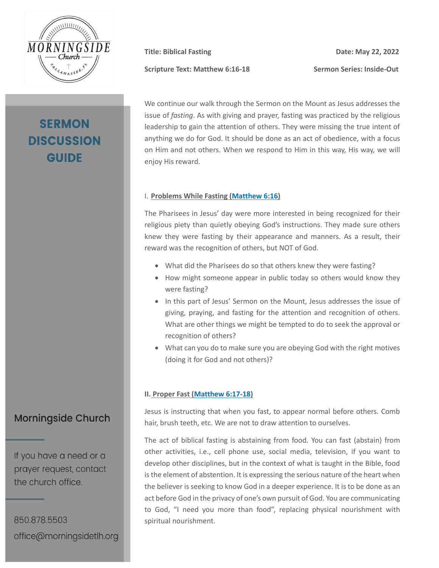

# **SERMON DISCUSSION GUIDE**

**Scripture Text: Matthew 6:16-18 Sermon Series: Inside-Out**

**Title:** Biblical Fasting **Date:** May 22, 2022

We continue our walk through the Sermon on the Mount as Jesus addresses the issue of *fasting*. As with giving and prayer, fasting was practiced by the religious leadership to gain the attention of others. They were missing the true intent of anything we do for God. It should be done as an act of obedience, with a focus on Him and not others. When we respond to Him in this way, His way, we will enjoy His reward.

#### I. **Problems While Fasting [\(Matthew 6:16\)](https://my.bible.com/bible/2692/MAT.6.16.nasb2020)**

The Pharisees in Jesus' day were more interested in being recognized for their religious piety than quietly obeying God's instructions. They made sure others knew they were fasting by their appearance and manners. As a result, their reward was the recognition of others, but NOT of God.

- What did the Pharisees do so that others knew they were fasting?
- How might someone appear in public today so others would know they were fasting?
- In this part of Jesus' Sermon on the Mount, Jesus addresses the issue of giving, praying, and fasting for the attention and recognition of others. What are other things we might be tempted to do to seek the approval or recognition of others?
- What can you do to make sure you are obeying God with the right motives (doing it for God and not others)?

#### **II. Proper Fast [\(Matthew 6:17-18\)](https://my.bible.com/bible/2692/MAT.6.17-18.nasb2020)**

Jesus is instructing that when you fast, to appear normal before others. Comb hair, brush teeth, etc. We are not to draw attention to ourselves.

The act of biblical fasting is abstaining from food. You can fast (abstain) from other activities, i.e., cell phone use, social media, television, if you want to develop other disciplines, but in the context of what is taught in the Bible, food is the element of abstention. It is expressing the serious nature of the heart when the believer is seeking to know God in a deeper experience. It is to be done as an act before God in the privacy of one's own pursuit of God. You are communicating to God, "I need you more than food", replacing physical nourishment with spiritual nourishment.

## **Morningside Church**

If you have a need or a prayer request, contact the church office.

850.878.5503 office@morningsidetlh.org